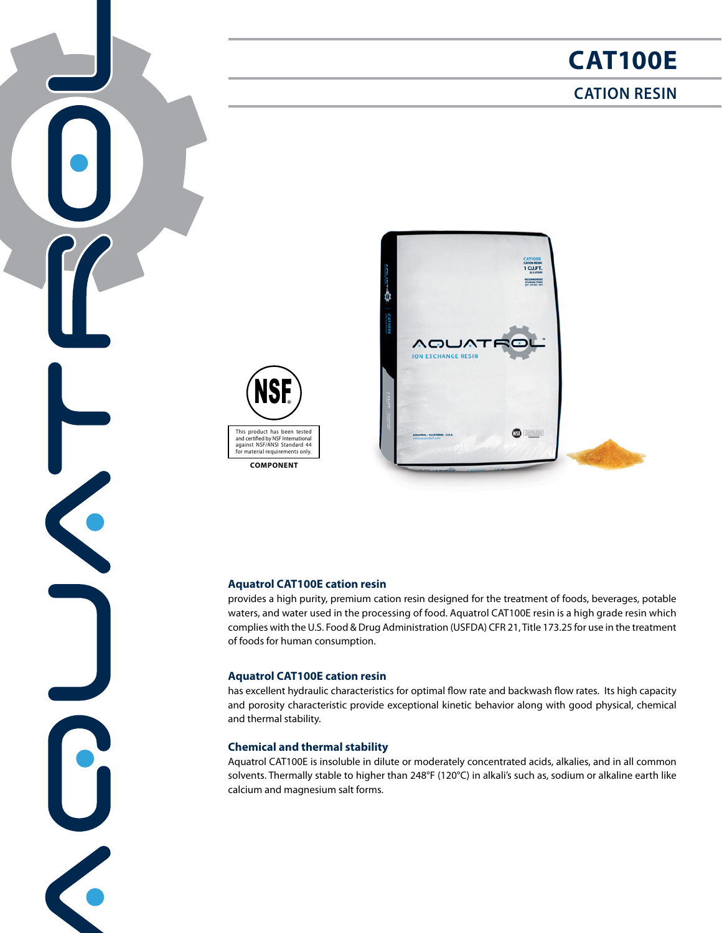# **CAT100E**

# **CATION RESIN**



 $\left| \bullet \right|$ 

K

C

**COMPONENT**



### **Aquatrol CAT100E cation resin**

provides a high purity, premium cation resin designed for the treatment of foods, beverages, potable waters, and water used in the processing of food. Aquatrol CAT100E resin is a high grade resin which complies with the U.S. Food & Drug Administration (USFDA) CFR 21, Title 173.25 for use in the treatment of foods for human consumption.

### **Aquatrol CAT100E cation resin**

has excellent hydraulic characteristics for optimal flow rate and backwash flow rates. Its high capacity and porosity characteristic provide exceptional kinetic behavior along with good physical, chemical and thermal stability.

## **Chemical and thermal stability**

Aquatrol CAT100E is insoluble in dilute or moderately concentrated acids, alkalies, and in all common solvents. Thermally stable to higher than 248°F (120°C) in alkali's such as, sodium or alkaline earth like calcium and magnesium salt forms.